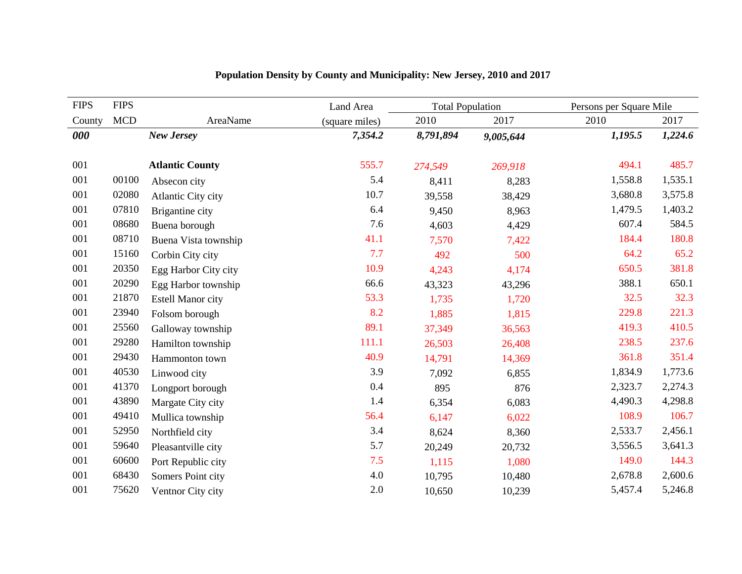| <b>FIPS</b> | <b>FIPS</b> |                          | Land Area      | <b>Total Population</b> |           | Persons per Square Mile |         |
|-------------|-------------|--------------------------|----------------|-------------------------|-----------|-------------------------|---------|
| County      | <b>MCD</b>  | AreaName                 | (square miles) | 2010                    | 2017      | 2010                    | 2017    |
| 000         |             | New Jersey               | 7,354.2        | 8,791,894               | 9,005,644 | 1,195.5                 | 1,224.6 |
|             |             |                          |                |                         |           |                         |         |
| 001         |             | <b>Atlantic County</b>   | 555.7          | 274,549                 | 269,918   | 494.1                   | 485.7   |
| 001         | 00100       | Absecon city             | 5.4            | 8,411                   | 8,283     | 1,558.8                 | 1,535.1 |
| 001         | 02080       | Atlantic City city       | 10.7           | 39,558                  | 38,429    | 3,680.8                 | 3,575.8 |
| 001         | 07810       | Brigantine city          | 6.4            | 9,450                   | 8,963     | 1,479.5                 | 1,403.2 |
| 001         | 08680       | Buena borough            | 7.6            | 4,603                   | 4,429     | 607.4                   | 584.5   |
| 001         | 08710       | Buena Vista township     | 41.1           | 7,570                   | 7,422     | 184.4                   | 180.8   |
| 001         | 15160       | Corbin City city         | 7.7            | 492                     | 500       | 64.2                    | 65.2    |
| 001         | 20350       | Egg Harbor City city     | 10.9           | 4,243                   | 4,174     | 650.5                   | 381.8   |
| 001         | 20290       | Egg Harbor township      | 66.6           | 43,323                  | 43,296    | 388.1                   | 650.1   |
| 001         | 21870       | <b>Estell Manor city</b> | 53.3           | 1,735                   | 1,720     | 32.5                    | 32.3    |
| 001         | 23940       | Folsom borough           | 8.2            | 1,885                   | 1,815     | 229.8                   | 221.3   |
| 001         | 25560       | Galloway township        | 89.1           | 37,349                  | 36,563    | 419.3                   | 410.5   |
| 001         | 29280       | Hamilton township        | 111.1          | 26,503                  | 26,408    | 238.5                   | 237.6   |
| 001         | 29430       | Hammonton town           | 40.9           | 14,791                  | 14,369    | 361.8                   | 351.4   |
| 001         | 40530       | Linwood city             | 3.9            | 7,092                   | 6,855     | 1,834.9                 | 1,773.6 |
| 001         | 41370       | Longport borough         | 0.4            | 895                     | 876       | 2,323.7                 | 2,274.3 |
| 001         | 43890       | Margate City city        | 1.4            | 6,354                   | 6,083     | 4,490.3                 | 4,298.8 |
| 001         | 49410       | Mullica township         | 56.4           | 6,147                   | 6,022     | 108.9                   | 106.7   |
| 001         | 52950       | Northfield city          | 3.4            | 8,624                   | 8,360     | 2,533.7                 | 2,456.1 |
| 001         | 59640       | Pleasantville city       | 5.7            | 20,249                  | 20,732    | 3,556.5                 | 3,641.3 |
| 001         | 60600       | Port Republic city       | 7.5            | 1,115                   | 1,080     | 149.0                   | 144.3   |
| 001         | 68430       | Somers Point city        | 4.0            | 10,795                  | 10,480    | 2,678.8                 | 2,600.6 |
| 001         | 75620       | Ventnor City city        | 2.0            | 10,650                  | 10,239    | 5,457.4                 | 5,246.8 |

## **Population Density by County and Municipality: New Jersey, 2010 and 2017**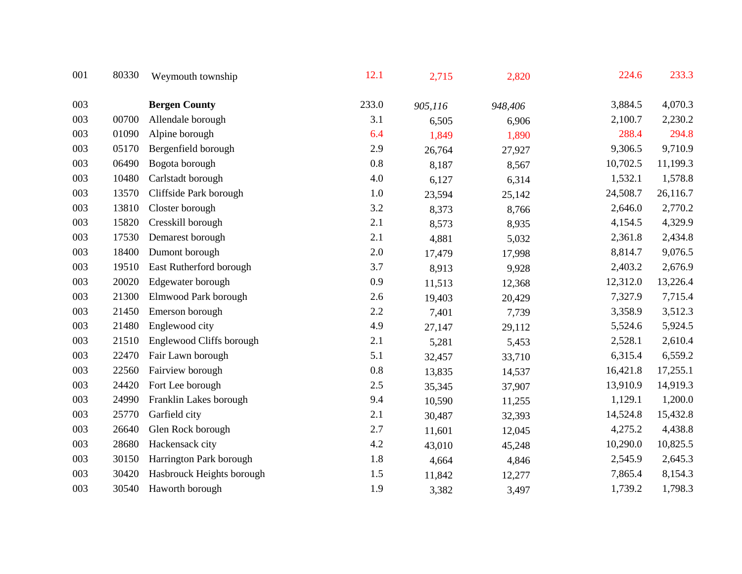| 001 | 80330 | Weymouth township         | 12.1    | 2,715   | 2,820   | 224.6    | 233.3    |
|-----|-------|---------------------------|---------|---------|---------|----------|----------|
| 003 |       | <b>Bergen County</b>      | 233.0   | 905,116 | 948,406 | 3,884.5  | 4,070.3  |
| 003 | 00700 | Allendale borough         | 3.1     | 6,505   | 6,906   | 2,100.7  | 2,230.2  |
| 003 | 01090 | Alpine borough            | 6.4     | 1,849   | 1,890   | 288.4    | 294.8    |
| 003 | 05170 | Bergenfield borough       | 2.9     | 26,764  | 27,927  | 9,306.5  | 9,710.9  |
| 003 | 06490 | Bogota borough            | 0.8     | 8,187   | 8,567   | 10,702.5 | 11,199.3 |
| 003 | 10480 | Carlstadt borough         | 4.0     | 6,127   | 6,314   | 1,532.1  | 1,578.8  |
| 003 | 13570 | Cliffside Park borough    | 1.0     | 23,594  | 25,142  | 24,508.7 | 26,116.7 |
| 003 | 13810 | Closter borough           | 3.2     | 8,373   | 8,766   | 2,646.0  | 2,770.2  |
| 003 | 15820 | Cresskill borough         | 2.1     | 8,573   | 8,935   | 4,154.5  | 4,329.9  |
| 003 | 17530 | Demarest borough          | 2.1     | 4,881   | 5,032   | 2,361.8  | 2,434.8  |
| 003 | 18400 | Dumont borough            | 2.0     | 17,479  | 17,998  | 8,814.7  | 9,076.5  |
| 003 | 19510 | East Rutherford borough   | 3.7     | 8,913   | 9,928   | 2,403.2  | 2,676.9  |
| 003 | 20020 | Edgewater borough         | 0.9     | 11,513  | 12,368  | 12,312.0 | 13,226.4 |
| 003 | 21300 | Elmwood Park borough      | 2.6     | 19,403  | 20,429  | 7,327.9  | 7,715.4  |
| 003 | 21450 | Emerson borough           | 2.2     | 7,401   | 7,739   | 3,358.9  | 3,512.3  |
| 003 | 21480 | Englewood city            | 4.9     | 27,147  | 29,112  | 5,524.6  | 5,924.5  |
| 003 | 21510 | Englewood Cliffs borough  | 2.1     | 5,281   | 5,453   | 2,528.1  | 2,610.4  |
| 003 | 22470 | Fair Lawn borough         | 5.1     | 32,457  | 33,710  | 6,315.4  | 6,559.2  |
| 003 | 22560 | Fairview borough          | $0.8\,$ | 13,835  | 14,537  | 16,421.8 | 17,255.1 |
| 003 | 24420 | Fort Lee borough          | $2.5\,$ | 35,345  | 37,907  | 13,910.9 | 14,919.3 |
| 003 | 24990 | Franklin Lakes borough    | 9.4     | 10,590  | 11,255  | 1,129.1  | 1,200.0  |
| 003 | 25770 | Garfield city             | 2.1     | 30,487  | 32,393  | 14,524.8 | 15,432.8 |
| 003 | 26640 | Glen Rock borough         | 2.7     | 11,601  | 12,045  | 4,275.2  | 4,438.8  |
| 003 | 28680 | Hackensack city           | 4.2     | 43,010  | 45,248  | 10,290.0 | 10,825.5 |
| 003 | 30150 | Harrington Park borough   | 1.8     | 4,664   | 4,846   | 2,545.9  | 2,645.3  |
| 003 | 30420 | Hasbrouck Heights borough | 1.5     | 11,842  | 12,277  | 7,865.4  | 8,154.3  |
| 003 | 30540 | Haworth borough           | 1.9     | 3,382   | 3,497   | 1,739.2  | 1,798.3  |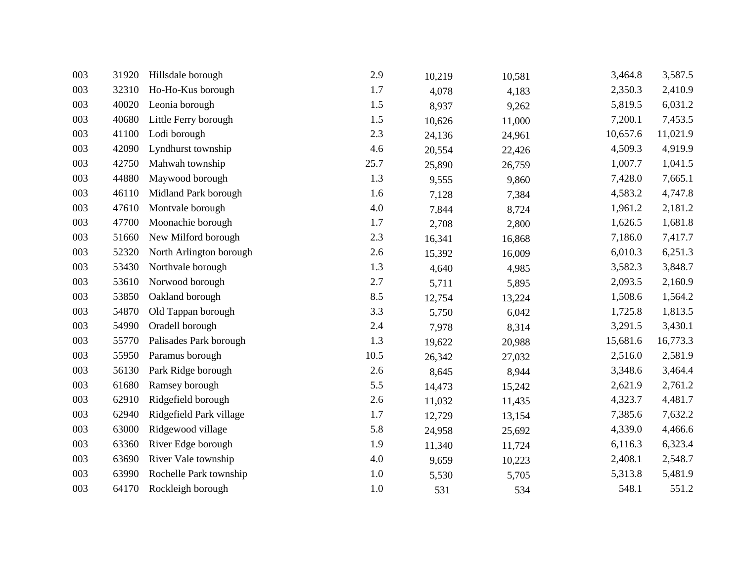| 003 | 31920 | Hillsdale borough       | 2.9     | 10,219 | 10,581 | 3,464.8  | 3,587.5  |
|-----|-------|-------------------------|---------|--------|--------|----------|----------|
| 003 | 32310 | Ho-Ho-Kus borough       | 1.7     | 4,078  | 4,183  | 2,350.3  | 2,410.9  |
| 003 | 40020 | Leonia borough          | 1.5     | 8,937  | 9,262  | 5,819.5  | 6,031.2  |
| 003 | 40680 | Little Ferry borough    | 1.5     | 10,626 | 11,000 | 7,200.1  | 7,453.5  |
| 003 | 41100 | Lodi borough            | 2.3     | 24,136 | 24,961 | 10,657.6 | 11,021.9 |
| 003 | 42090 | Lyndhurst township      | 4.6     | 20,554 | 22,426 | 4,509.3  | 4,919.9  |
| 003 | 42750 | Mahwah township         | 25.7    | 25,890 | 26,759 | 1,007.7  | 1,041.5  |
| 003 | 44880 | Maywood borough         | 1.3     | 9,555  | 9,860  | 7,428.0  | 7,665.1  |
| 003 | 46110 | Midland Park borough    | 1.6     | 7,128  | 7,384  | 4,583.2  | 4,747.8  |
| 003 | 47610 | Montvale borough        | 4.0     | 7,844  | 8,724  | 1,961.2  | 2,181.2  |
| 003 | 47700 | Moonachie borough       | 1.7     | 2,708  | 2,800  | 1,626.5  | 1,681.8  |
| 003 | 51660 | New Milford borough     | 2.3     | 16,341 | 16,868 | 7,186.0  | 7,417.7  |
| 003 | 52320 | North Arlington borough | 2.6     | 15,392 | 16,009 | 6,010.3  | 6,251.3  |
| 003 | 53430 | Northvale borough       | 1.3     | 4,640  | 4,985  | 3,582.3  | 3,848.7  |
| 003 | 53610 | Norwood borough         | 2.7     | 5,711  | 5,895  | 2,093.5  | 2,160.9  |
| 003 | 53850 | Oakland borough         | 8.5     | 12,754 | 13,224 | 1,508.6  | 1,564.2  |
| 003 | 54870 | Old Tappan borough      | 3.3     | 5,750  | 6,042  | 1,725.8  | 1,813.5  |
| 003 | 54990 | Oradell borough         | 2.4     | 7,978  | 8,314  | 3,291.5  | 3,430.1  |
| 003 | 55770 | Palisades Park borough  | 1.3     | 19,622 | 20,988 | 15,681.6 | 16,773.3 |
| 003 | 55950 | Paramus borough         | 10.5    | 26,342 | 27,032 | 2,516.0  | 2,581.9  |
| 003 | 56130 | Park Ridge borough      | 2.6     | 8,645  | 8,944  | 3,348.6  | 3,464.4  |
| 003 | 61680 | Ramsey borough          | 5.5     | 14,473 | 15,242 | 2,621.9  | 2,761.2  |
| 003 | 62910 | Ridgefield borough      | $2.6\,$ | 11,032 | 11,435 | 4,323.7  | 4,481.7  |
| 003 | 62940 | Ridgefield Park village | 1.7     | 12,729 | 13,154 | 7,385.6  | 7,632.2  |
| 003 | 63000 | Ridgewood village       | 5.8     | 24,958 | 25,692 | 4,339.0  | 4,466.6  |
| 003 | 63360 | River Edge borough      | 1.9     | 11,340 | 11,724 | 6,116.3  | 6,323.4  |
| 003 | 63690 | River Vale township     | 4.0     | 9,659  | 10,223 | 2,408.1  | 2,548.7  |
| 003 | 63990 | Rochelle Park township  | $1.0\,$ | 5,530  | 5,705  | 5,313.8  | 5,481.9  |
| 003 | 64170 | Rockleigh borough       | $1.0\,$ | 531    | 534    | 548.1    | 551.2    |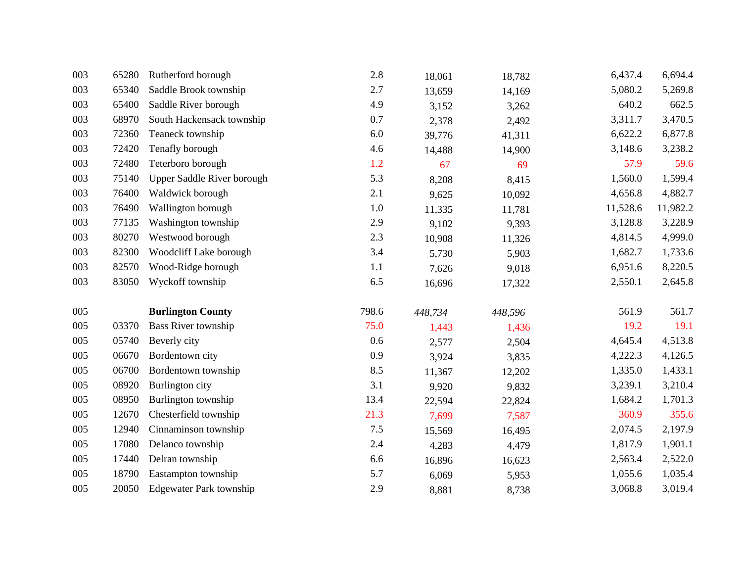| 003 | 65280 | Rutherford borough         | 2.8     | 18,061  | 18,782  | 6,437.4  | 6,694.4  |
|-----|-------|----------------------------|---------|---------|---------|----------|----------|
| 003 | 65340 | Saddle Brook township      | 2.7     | 13,659  | 14,169  | 5,080.2  | 5,269.8  |
| 003 | 65400 | Saddle River borough       | 4.9     | 3,152   | 3,262   | 640.2    | 662.5    |
| 003 | 68970 | South Hackensack township  | 0.7     | 2,378   | 2,492   | 3,311.7  | 3,470.5  |
| 003 | 72360 | Teaneck township           | $6.0\,$ | 39,776  | 41,311  | 6,622.2  | 6,877.8  |
| 003 | 72420 | Tenafly borough            | 4.6     | 14,488  | 14,900  | 3,148.6  | 3,238.2  |
| 003 | 72480 | Teterboro borough          | 1.2     | 67      | 69      | 57.9     | 59.6     |
| 003 | 75140 | Upper Saddle River borough | 5.3     | 8,208   | 8,415   | 1,560.0  | 1,599.4  |
| 003 | 76400 | Waldwick borough           | 2.1     | 9,625   | 10,092  | 4,656.8  | 4,882.7  |
| 003 | 76490 | Wallington borough         | 1.0     | 11,335  | 11,781  | 11,528.6 | 11,982.2 |
| 003 | 77135 | Washington township        | 2.9     | 9,102   | 9,393   | 3,128.8  | 3,228.9  |
| 003 | 80270 | Westwood borough           | 2.3     | 10,908  | 11,326  | 4,814.5  | 4,999.0  |
| 003 | 82300 | Woodcliff Lake borough     | 3.4     | 5,730   | 5,903   | 1,682.7  | 1,733.6  |
| 003 | 82570 | Wood-Ridge borough         | 1.1     | 7,626   | 9,018   | 6,951.6  | 8,220.5  |
|     |       |                            |         |         |         |          |          |
| 003 | 83050 | Wyckoff township           | 6.5     | 16,696  | 17,322  | 2,550.1  | 2,645.8  |
| 005 |       | <b>Burlington County</b>   | 798.6   | 448,734 | 448,596 | 561.9    | 561.7    |
| 005 | 03370 | <b>Bass River township</b> | 75.0    | 1,443   | 1,436   | 19.2     | 19.1     |
| 005 | 05740 | Beverly city               | 0.6     | 2,577   | 2,504   | 4,645.4  | 4,513.8  |
| 005 | 06670 | Bordentown city            | 0.9     | 3,924   | 3,835   | 4,222.3  | 4,126.5  |
| 005 | 06700 | Bordentown township        | 8.5     | 11,367  | 12,202  | 1,335.0  | 1,433.1  |
| 005 | 08920 | Burlington city            | 3.1     | 9,920   | 9,832   | 3,239.1  | 3,210.4  |
| 005 | 08950 | Burlington township        | 13.4    | 22,594  | 22,824  | 1,684.2  | 1,701.3  |
| 005 | 12670 | Chesterfield township      | 21.3    | 7,699   | 7,587   | 360.9    | 355.6    |
| 005 | 12940 | Cinnaminson township       | $7.5$   | 15,569  | 16,495  | 2,074.5  | 2,197.9  |
| 005 | 17080 | Delanco township           | 2.4     | 4,283   | 4,479   | 1,817.9  | 1,901.1  |
| 005 | 17440 | Delran township            | 6.6     | 16,896  | 16,623  | 2,563.4  | 2,522.0  |
| 005 | 18790 | Eastampton township        | 5.7     | 6,069   | 5,953   | 1,055.6  | 1,035.4  |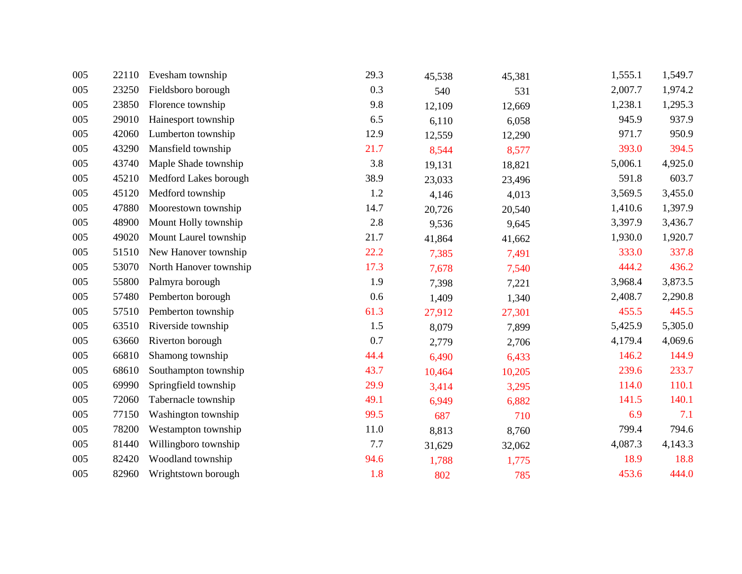| 005 | 22110 | Evesham township       | 29.3 | 45,538 | 45,381 | 1,555.1 | 1,549.7 |
|-----|-------|------------------------|------|--------|--------|---------|---------|
| 005 | 23250 | Fieldsboro borough     | 0.3  | 540    | 531    | 2,007.7 | 1,974.2 |
| 005 | 23850 | Florence township      | 9.8  | 12,109 | 12,669 | 1,238.1 | 1,295.3 |
| 005 | 29010 | Hainesport township    | 6.5  | 6,110  | 6,058  | 945.9   | 937.9   |
| 005 | 42060 | Lumberton township     | 12.9 | 12,559 | 12,290 | 971.7   | 950.9   |
| 005 | 43290 | Mansfield township     | 21.7 | 8,544  | 8,577  | 393.0   | 394.5   |
| 005 | 43740 | Maple Shade township   | 3.8  | 19,131 | 18,821 | 5,006.1 | 4,925.0 |
| 005 | 45210 | Medford Lakes borough  | 38.9 | 23,033 | 23,496 | 591.8   | 603.7   |
| 005 | 45120 | Medford township       | 1.2  | 4,146  | 4,013  | 3,569.5 | 3,455.0 |
| 005 | 47880 | Moorestown township    | 14.7 | 20,726 | 20,540 | 1,410.6 | 1,397.9 |
| 005 | 48900 | Mount Holly township   | 2.8  | 9,536  | 9,645  | 3,397.9 | 3,436.7 |
| 005 | 49020 | Mount Laurel township  | 21.7 | 41,864 | 41,662 | 1,930.0 | 1,920.7 |
| 005 | 51510 | New Hanover township   | 22.2 | 7,385  | 7,491  | 333.0   | 337.8   |
| 005 | 53070 | North Hanover township | 17.3 | 7,678  | 7,540  | 444.2   | 436.2   |
| 005 | 55800 | Palmyra borough        | 1.9  | 7,398  | 7,221  | 3,968.4 | 3,873.5 |
| 005 | 57480 | Pemberton borough      | 0.6  | 1,409  | 1,340  | 2,408.7 | 2,290.8 |
| 005 | 57510 | Pemberton township     | 61.3 | 27,912 | 27,301 | 455.5   | 445.5   |
| 005 | 63510 | Riverside township     | 1.5  | 8,079  | 7,899  | 5,425.9 | 5,305.0 |
| 005 | 63660 | Riverton borough       | 0.7  | 2,779  | 2,706  | 4,179.4 | 4,069.6 |
| 005 | 66810 | Shamong township       | 44.4 | 6,490  | 6,433  | 146.2   | 144.9   |
| 005 | 68610 | Southampton township   | 43.7 | 10,464 | 10,205 | 239.6   | 233.7   |
| 005 | 69990 | Springfield township   | 29.9 | 3,414  | 3,295  | 114.0   | 110.1   |
| 005 | 72060 | Tabernacle township    | 49.1 | 6,949  | 6,882  | 141.5   | 140.1   |
| 005 | 77150 | Washington township    | 99.5 | 687    | 710    | 6.9     | 7.1     |
| 005 | 78200 | Westampton township    | 11.0 | 8,813  | 8,760  | 799.4   | 794.6   |
| 005 | 81440 | Willingboro township   | 7.7  | 31,629 | 32,062 | 4,087.3 | 4,143.3 |
| 005 | 82420 | Woodland township      | 94.6 | 1,788  | 1,775  | 18.9    | 18.8    |
| 005 | 82960 | Wrightstown borough    | 1.8  | 802    | 785    | 453.6   | 444.0   |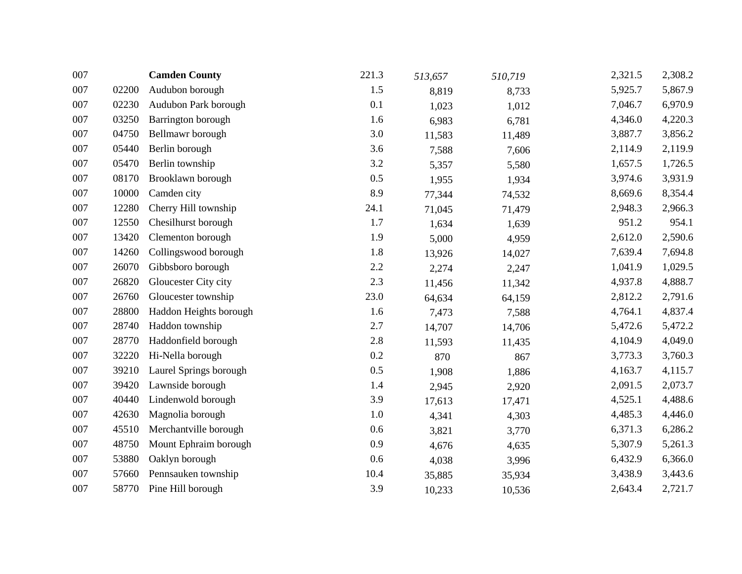| 007 |       | <b>Camden County</b>   | 221.3 | 513,657 | 510,719 | 2,321.5 | 2,308.2 |
|-----|-------|------------------------|-------|---------|---------|---------|---------|
| 007 | 02200 | Audubon borough        | 1.5   | 8,819   | 8,733   | 5,925.7 | 5,867.9 |
| 007 | 02230 | Audubon Park borough   | 0.1   | 1,023   | 1,012   | 7,046.7 | 6,970.9 |
| 007 | 03250 | Barrington borough     | 1.6   | 6,983   | 6,781   | 4,346.0 | 4,220.3 |
| 007 | 04750 | Bellmawr borough       | 3.0   | 11,583  | 11,489  | 3,887.7 | 3,856.2 |
| 007 | 05440 | Berlin borough         | 3.6   | 7,588   | 7,606   | 2,114.9 | 2,119.9 |
| 007 | 05470 | Berlin township        | 3.2   | 5,357   | 5,580   | 1,657.5 | 1,726.5 |
| 007 | 08170 | Brooklawn borough      | 0.5   | 1,955   | 1,934   | 3,974.6 | 3,931.9 |
| 007 | 10000 | Camden city            | 8.9   | 77,344  | 74,532  | 8,669.6 | 8,354.4 |
| 007 | 12280 | Cherry Hill township   | 24.1  | 71,045  | 71,479  | 2,948.3 | 2,966.3 |
| 007 | 12550 | Chesilhurst borough    | 1.7   | 1,634   | 1,639   | 951.2   | 954.1   |
| 007 | 13420 | Clementon borough      | 1.9   | 5,000   | 4,959   | 2,612.0 | 2,590.6 |
| 007 | 14260 | Collingswood borough   | 1.8   | 13,926  | 14,027  | 7,639.4 | 7,694.8 |
| 007 | 26070 | Gibbsboro borough      | 2.2   | 2,274   | 2,247   | 1,041.9 | 1,029.5 |
| 007 | 26820 | Gloucester City city   | 2.3   | 11,456  | 11,342  | 4,937.8 | 4,888.7 |
| 007 | 26760 | Gloucester township    | 23.0  | 64,634  | 64,159  | 2,812.2 | 2,791.6 |
| 007 | 28800 | Haddon Heights borough | 1.6   | 7,473   | 7,588   | 4,764.1 | 4,837.4 |
| 007 | 28740 | Haddon township        | 2.7   | 14,707  | 14,706  | 5,472.6 | 5,472.2 |
| 007 | 28770 | Haddonfield borough    | 2.8   | 11,593  | 11,435  | 4,104.9 | 4,049.0 |
| 007 | 32220 | Hi-Nella borough       | 0.2   | 870     | 867     | 3,773.3 | 3,760.3 |
| 007 | 39210 | Laurel Springs borough | 0.5   | 1,908   | 1,886   | 4,163.7 | 4,115.7 |
| 007 | 39420 | Lawnside borough       | 1.4   | 2,945   | 2,920   | 2,091.5 | 2,073.7 |
| 007 | 40440 | Lindenwold borough     | 3.9   | 17,613  | 17,471  | 4,525.1 | 4,488.6 |
| 007 | 42630 | Magnolia borough       | 1.0   | 4,341   | 4,303   | 4,485.3 | 4,446.0 |
| 007 | 45510 | Merchantville borough  | 0.6   | 3,821   | 3,770   | 6,371.3 | 6,286.2 |
| 007 | 48750 | Mount Ephraim borough  | 0.9   | 4,676   | 4,635   | 5,307.9 | 5,261.3 |
| 007 | 53880 | Oaklyn borough         | 0.6   | 4,038   | 3,996   | 6,432.9 | 6,366.0 |
| 007 | 57660 | Pennsauken township    | 10.4  | 35,885  | 35,934  | 3,438.9 | 3,443.6 |
| 007 | 58770 | Pine Hill borough      | 3.9   | 10,233  | 10,536  | 2,643.4 | 2,721.7 |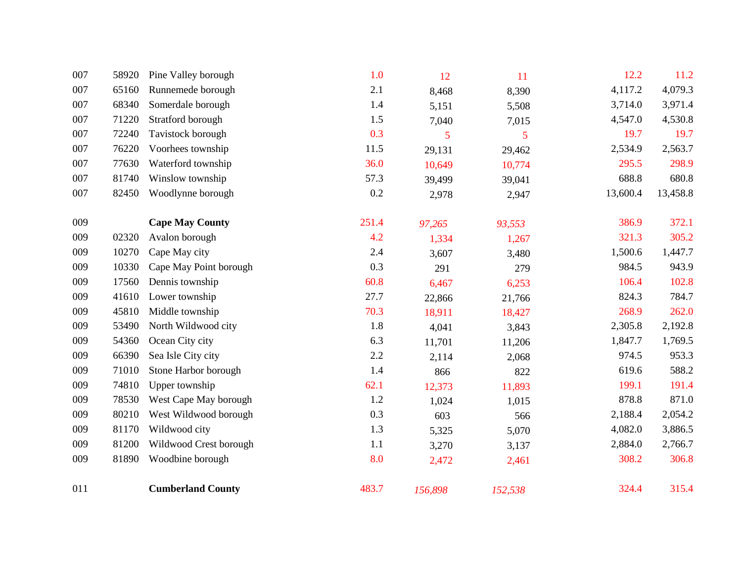| 007 | 58920 | Pine Valley borough      | 1.0   | 12      | 11      | 12.2     | 11.2     |
|-----|-------|--------------------------|-------|---------|---------|----------|----------|
| 007 | 65160 | Runnemede borough        | 2.1   | 8,468   | 8,390   | 4,117.2  | 4,079.3  |
| 007 | 68340 | Somerdale borough        | 1.4   | 5,151   | 5,508   | 3,714.0  | 3,971.4  |
| 007 | 71220 | Stratford borough        | 1.5   | 7,040   | 7,015   | 4,547.0  | 4,530.8  |
| 007 | 72240 | Tavistock borough        | 0.3   | 5       | 5       | 19.7     | 19.7     |
| 007 | 76220 | Voorhees township        | 11.5  | 29,131  | 29,462  | 2,534.9  | 2,563.7  |
| 007 | 77630 | Waterford township       | 36.0  | 10,649  | 10,774  | 295.5    | 298.9    |
| 007 | 81740 | Winslow township         | 57.3  | 39,499  | 39,041  | 688.8    | 680.8    |
| 007 | 82450 | Woodlynne borough        | 0.2   | 2,978   | 2,947   | 13,600.4 | 13,458.8 |
| 009 |       | <b>Cape May County</b>   | 251.4 | 97,265  | 93,553  | 386.9    | 372.1    |
| 009 | 02320 | Avalon borough           | 4.2   | 1,334   | 1,267   | 321.3    | 305.2    |
| 009 | 10270 | Cape May city            | 2.4   | 3,607   | 3,480   | 1,500.6  | 1,447.7  |
| 009 | 10330 | Cape May Point borough   | 0.3   | 291     | 279     | 984.5    | 943.9    |
| 009 | 17560 | Dennis township          | 60.8  | 6,467   | 6,253   | 106.4    | 102.8    |
| 009 | 41610 | Lower township           | 27.7  | 22,866  | 21,766  | 824.3    | 784.7    |
| 009 | 45810 | Middle township          | 70.3  | 18,911  | 18,427  | 268.9    | 262.0    |
| 009 | 53490 | North Wildwood city      | 1.8   | 4,041   | 3,843   | 2,305.8  | 2,192.8  |
| 009 | 54360 | Ocean City city          | 6.3   | 11,701  | 11,206  | 1,847.7  | 1,769.5  |
| 009 | 66390 | Sea Isle City city       | 2.2   | 2,114   | 2,068   | 974.5    | 953.3    |
| 009 | 71010 | Stone Harbor borough     | 1.4   | 866     | 822     | 619.6    | 588.2    |
| 009 | 74810 | Upper township           | 62.1  | 12,373  | 11,893  | 199.1    | 191.4    |
| 009 | 78530 | West Cape May borough    | 1.2   | 1,024   | 1,015   | 878.8    | 871.0    |
| 009 | 80210 | West Wildwood borough    | 0.3   | 603     | 566     | 2,188.4  | 2,054.2  |
| 009 | 81170 | Wildwood city            | 1.3   | 5,325   | 5,070   | 4,082.0  | 3,886.5  |
| 009 | 81200 | Wildwood Crest borough   | 1.1   | 3,270   | 3,137   | 2,884.0  | 2,766.7  |
| 009 | 81890 | Woodbine borough         | 8.0   | 2,472   | 2,461   | 308.2    | 306.8    |
| 011 |       | <b>Cumberland County</b> | 483.7 | 156,898 | 152,538 | 324.4    | 315.4    |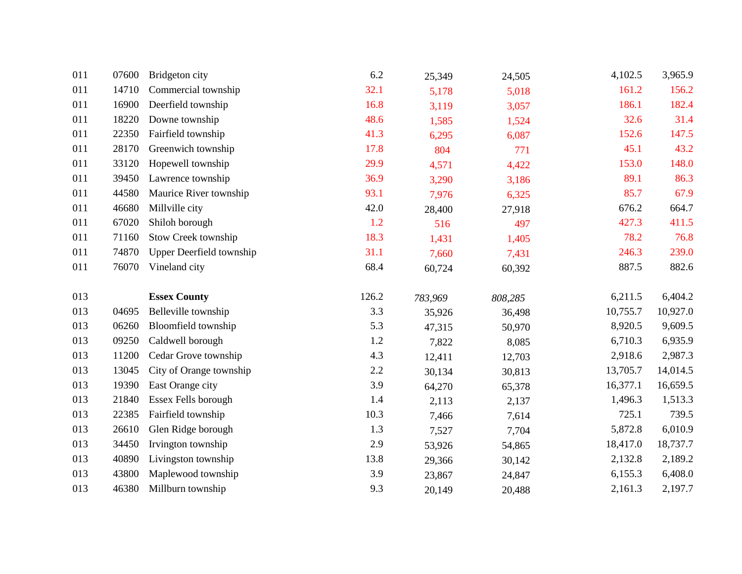| 011 | 07600 | Bridgeton city                  | 6.2   | 25,349           | 24,505           | 4,102.5  | 3,965.9  |
|-----|-------|---------------------------------|-------|------------------|------------------|----------|----------|
| 011 | 14710 | Commercial township             | 32.1  | 5,178            | 5,018            | 161.2    | 156.2    |
| 011 | 16900 | Deerfield township              | 16.8  | 3,119            | 3,057            | 186.1    | 182.4    |
| 011 | 18220 | Downe township                  | 48.6  | 1,585            | 1,524            | 32.6     | 31.4     |
| 011 | 22350 | Fairfield township              | 41.3  | 6,295            | 6,087            | 152.6    | 147.5    |
| 011 | 28170 | Greenwich township              | 17.8  | 804              | 771              | 45.1     | 43.2     |
| 011 | 33120 | Hopewell township               | 29.9  | 4,571            | 4,422            | 153.0    | 148.0    |
| 011 | 39450 | Lawrence township               | 36.9  | 3,290            | 3,186            | 89.1     | 86.3     |
| 011 | 44580 | Maurice River township          | 93.1  | 7,976            | 6,325            | 85.7     | 67.9     |
| 011 | 46680 | Millville city                  | 42.0  | 28,400           | 27,918           | 676.2    | 664.7    |
| 011 | 67020 | Shiloh borough                  | 1.2   | 516              | 497              | 427.3    | 411.5    |
| 011 | 71160 | Stow Creek township             | 18.3  | 1,431            | 1,405            | 78.2     | 76.8     |
| 011 | 74870 | <b>Upper Deerfield township</b> | 31.1  | 7,660            | 7,431            | 246.3    | 239.0    |
| 011 | 76070 | Vineland city                   | 68.4  | 60,724           | 60,392           | 887.5    | 882.6    |
|     |       |                                 |       |                  |                  |          |          |
| 013 |       | <b>Essex County</b>             | 126.2 |                  |                  | 6,211.5  | 6,404.2  |
| 013 | 04695 | Belleville township             | 3.3   | 783,969          | 808,285          | 10,755.7 | 10,927.0 |
| 013 | 06260 | Bloomfield township             | 5.3   | 35,926<br>47,315 | 36,498<br>50,970 | 8,920.5  | 9,609.5  |
| 013 | 09250 | Caldwell borough                | 1.2   |                  |                  | 6,710.3  | 6,935.9  |
| 013 | 11200 | Cedar Grove township            | 4.3   | 7,822<br>12,411  | 8,085<br>12,703  | 2,918.6  | 2,987.3  |
| 013 | 13045 | City of Orange township         | 2.2   | 30,134           | 30,813           | 13,705.7 | 14,014.5 |
| 013 | 19390 | East Orange city                | 3.9   | 64,270           | 65,378           | 16,377.1 | 16,659.5 |
| 013 | 21840 | Essex Fells borough             | 1.4   | 2,113            | 2,137            | 1,496.3  | 1,513.3  |
| 013 | 22385 | Fairfield township              | 10.3  | 7,466            | 7,614            | 725.1    | 739.5    |
| 013 | 26610 | Glen Ridge borough              | 1.3   | 7,527            | 7,704            | 5,872.8  | 6,010.9  |
| 013 | 34450 | Irvington township              | 2.9   | 53,926           | 54,865           | 18,417.0 | 18,737.7 |
| 013 | 40890 | Livingston township             | 13.8  | 29,366           | 30,142           | 2,132.8  | 2,189.2  |
| 013 | 43800 | Maplewood township              | 3.9   | 23,867           | 24,847           | 6,155.3  | 6,408.0  |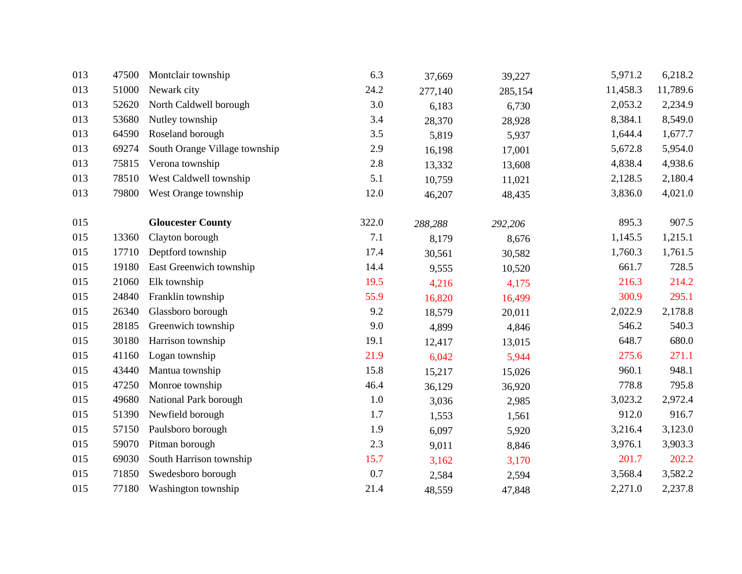| 013 | 47500 | Montclair township            | 6.3   | 37,669  | 39,227  | 5,971.2  | 6,218.2  |
|-----|-------|-------------------------------|-------|---------|---------|----------|----------|
| 013 | 51000 | Newark city                   | 24.2  | 277,140 | 285,154 | 11,458.3 | 11,789.6 |
| 013 | 52620 | North Caldwell borough        | 3.0   | 6,183   | 6,730   | 2,053.2  | 2,234.9  |
| 013 | 53680 | Nutley township               | 3.4   | 28,370  | 28,928  | 8,384.1  | 8,549.0  |
| 013 | 64590 | Roseland borough              | 3.5   | 5,819   | 5,937   | 1,644.4  | 1,677.7  |
| 013 | 69274 | South Orange Village township | 2.9   | 16,198  | 17,001  | 5,672.8  | 5,954.0  |
| 013 | 75815 | Verona township               | 2.8   | 13,332  | 13,608  | 4,838.4  | 4,938.6  |
| 013 | 78510 | West Caldwell township        | 5.1   | 10,759  | 11,021  | 2,128.5  | 2,180.4  |
| 013 | 79800 | West Orange township          | 12.0  | 46,207  | 48,435  | 3,836.0  | 4,021.0  |
| 015 |       | <b>Gloucester County</b>      | 322.0 | 288,288 | 292,206 | 895.3    | 907.5    |
| 015 | 13360 | Clayton borough               | 7.1   | 8,179   | 8,676   | 1,145.5  | 1,215.1  |
| 015 | 17710 | Deptford township             | 17.4  | 30,561  | 30,582  | 1,760.3  | 1,761.5  |
| 015 | 19180 | East Greenwich township       | 14.4  | 9,555   | 10,520  | 661.7    | 728.5    |
| 015 | 21060 | Elk township                  | 19.5  | 4,216   | 4,175   | 216.3    | 214.2    |
| 015 | 24840 | Franklin township             | 55.9  | 16,820  | 16,499  | 300.9    | 295.1    |
| 015 | 26340 | Glassboro borough             | 9.2   | 18,579  | 20,011  | 2,022.9  | 2,178.8  |
| 015 | 28185 | Greenwich township            | 9.0   | 4,899   | 4,846   | 546.2    | 540.3    |
| 015 | 30180 | Harrison township             | 19.1  | 12,417  | 13,015  | 648.7    | 680.0    |
| 015 | 41160 | Logan township                | 21.9  | 6,042   | 5,944   | 275.6    | 271.1    |
| 015 | 43440 | Mantua township               | 15.8  | 15,217  | 15,026  | 960.1    | 948.1    |
| 015 | 47250 | Monroe township               | 46.4  | 36,129  | 36,920  | 778.8    | 795.8    |
| 015 | 49680 | National Park borough         | 1.0   | 3,036   | 2,985   | 3,023.2  | 2,972.4  |
| 015 | 51390 | Newfield borough              | 1.7   | 1,553   | 1,561   | 912.0    | 916.7    |
| 015 | 57150 | Paulsboro borough             | 1.9   | 6,097   | 5,920   | 3,216.4  | 3,123.0  |
| 015 | 59070 | Pitman borough                | 2.3   | 9,011   | 8,846   | 3,976.1  | 3,903.3  |
| 015 | 69030 | South Harrison township       | 15.7  | 3,162   | 3,170   | 201.7    | 202.2    |
| 015 | 71850 | Swedesboro borough            | 0.7   | 2,584   | 2,594   | 3,568.4  | 3,582.2  |
| 015 | 77180 | Washington township           | 21.4  | 48,559  | 47,848  | 2,271.0  | 2,237.8  |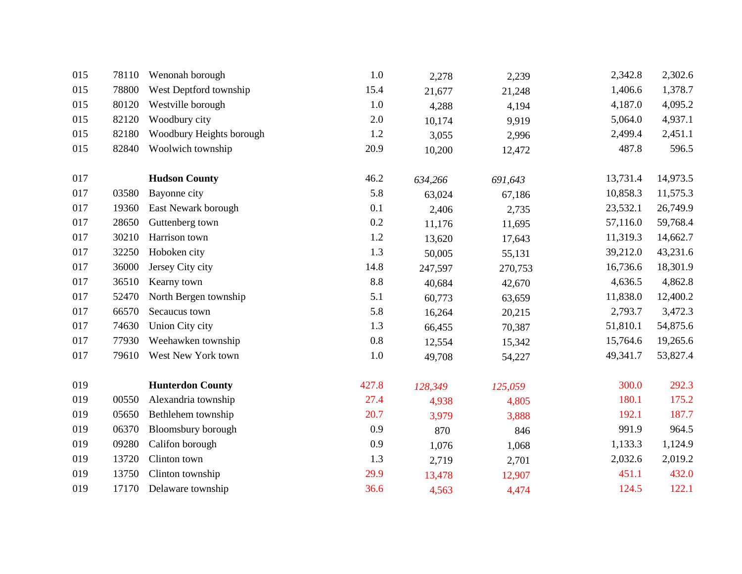| 015 | 78110 | Wenonah borough           | 1.0     | 2,278   | 2,239   | 2,342.8  | 2,302.6  |
|-----|-------|---------------------------|---------|---------|---------|----------|----------|
| 015 | 78800 | West Deptford township    | 15.4    | 21,677  | 21,248  | 1,406.6  | 1,378.7  |
| 015 | 80120 | Westville borough         | 1.0     | 4,288   | 4,194   | 4,187.0  | 4,095.2  |
| 015 | 82120 | Woodbury city             | 2.0     | 10,174  | 9,919   | 5,064.0  | 4,937.1  |
| 015 | 82180 | Woodbury Heights borough  | 1.2     | 3,055   | 2,996   | 2,499.4  | 2,451.1  |
| 015 | 82840 | Woolwich township         | 20.9    | 10,200  | 12,472  | 487.8    | 596.5    |
|     |       |                           |         |         |         |          |          |
| 017 |       | <b>Hudson County</b>      | 46.2    | 634,266 | 691,643 | 13,731.4 | 14,973.5 |
| 017 | 03580 | Bayonne city              | 5.8     | 63,024  | 67,186  | 10,858.3 | 11,575.3 |
| 017 | 19360 | East Newark borough       | 0.1     | 2,406   | 2,735   | 23,532.1 | 26,749.9 |
| 017 | 28650 | Guttenberg town           | 0.2     | 11,176  | 11,695  | 57,116.0 | 59,768.4 |
| 017 | 30210 | Harrison town             | 1.2     | 13,620  | 17,643  | 11,319.3 | 14,662.7 |
| 017 | 32250 | Hoboken city              | 1.3     | 50,005  | 55,131  | 39,212.0 | 43,231.6 |
| 017 | 36000 | Jersey City city          | 14.8    | 247,597 | 270,753 | 16,736.6 | 18,301.9 |
| 017 | 36510 | Kearny town               | 8.8     | 40,684  | 42,670  | 4,636.5  | 4,862.8  |
| 017 | 52470 | North Bergen township     | 5.1     | 60,773  | 63,659  | 11,838.0 | 12,400.2 |
| 017 | 66570 | Secaucus town             | 5.8     | 16,264  | 20,215  | 2,793.7  | 3,472.3  |
| 017 | 74630 | Union City city           | 1.3     | 66,455  | 70,387  | 51,810.1 | 54,875.6 |
| 017 | 77930 | Weehawken township        | $0.8\,$ | 12,554  | 15,342  | 15,764.6 | 19,265.6 |
| 017 | 79610 | West New York town        | 1.0     | 49,708  | 54,227  | 49,341.7 | 53,827.4 |
| 019 |       | <b>Hunterdon County</b>   | 427.8   | 128,349 | 125,059 | 300.0    | 292.3    |
| 019 | 00550 | Alexandria township       | 27.4    | 4,938   | 4,805   | 180.1    | 175.2    |
| 019 | 05650 | Bethlehem township        | 20.7    | 3,979   | 3,888   | 192.1    | 187.7    |
| 019 | 06370 | <b>Bloomsbury</b> borough | 0.9     | 870     | 846     | 991.9    | 964.5    |
| 019 | 09280 | Califon borough           | 0.9     |         |         | 1,133.3  | 1,124.9  |
| 019 | 13720 | Clinton town              | 1.3     | 1,076   | 1,068   | 2,032.6  | 2,019.2  |
| 019 | 13750 | Clinton township          | 29.9    | 2,719   | 2,701   | 451.1    | 432.0    |
|     |       |                           |         | 13,478  | 12,907  |          |          |
| 019 | 17170 | Delaware township         | 36.6    | 4,563   | 4,474   | 124.5    | 122.1    |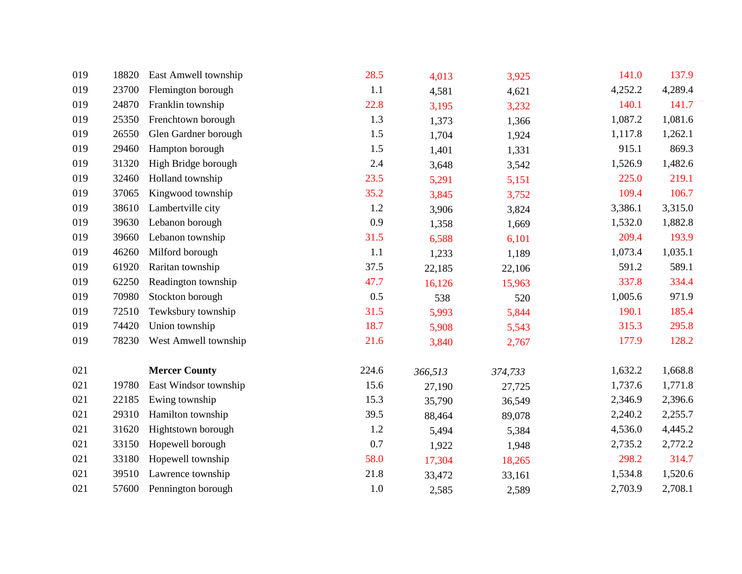| 019 | 18820 | East Amwell township  | 28.5  | 4,013   | 3,925   | 141.0   | 137.9   |
|-----|-------|-----------------------|-------|---------|---------|---------|---------|
| 019 | 23700 | Flemington borough    | 1.1   | 4,581   | 4,621   | 4,252.2 | 4,289.4 |
| 019 | 24870 | Franklin township     | 22.8  | 3,195   | 3,232   | 140.1   | 141.7   |
| 019 | 25350 | Frenchtown borough    | 1.3   | 1,373   | 1,366   | 1,087.2 | 1,081.6 |
| 019 | 26550 | Glen Gardner borough  | 1.5   | 1,704   | 1,924   | 1,117.8 | 1,262.1 |
| 019 | 29460 | Hampton borough       | 1.5   | 1,401   | 1,331   | 915.1   | 869.3   |
| 019 | 31320 | High Bridge borough   | 2.4   | 3,648   | 3,542   | 1,526.9 | 1,482.6 |
| 019 | 32460 | Holland township      | 23.5  | 5,291   | 5,151   | 225.0   | 219.1   |
| 019 | 37065 | Kingwood township     | 35.2  | 3,845   | 3,752   | 109.4   | 106.7   |
| 019 | 38610 | Lambertville city     | 1.2   | 3,906   | 3,824   | 3,386.1 | 3,315.0 |
| 019 | 39630 | Lebanon borough       | 0.9   | 1,358   | 1,669   | 1,532.0 | 1,882.8 |
| 019 | 39660 | Lebanon township      | 31.5  | 6,588   | 6,101   | 209.4   | 193.9   |
| 019 | 46260 | Milford borough       | 1.1   | 1,233   | 1,189   | 1,073.4 | 1,035.1 |
| 019 | 61920 | Raritan township      | 37.5  | 22,185  | 22,106  | 591.2   | 589.1   |
| 019 | 62250 | Readington township   | 47.7  | 16,126  | 15,963  | 337.8   | 334.4   |
| 019 | 70980 | Stockton borough      | 0.5   | 538     | 520     | 1,005.6 | 971.9   |
| 019 | 72510 | Tewksbury township    | 31.5  | 5,993   | 5,844   | 190.1   | 185.4   |
| 019 | 74420 | Union township        | 18.7  | 5,908   | 5,543   | 315.3   | 295.8   |
| 019 | 78230 | West Amwell township  | 21.6  | 3,840   | 2,767   | 177.9   | 128.2   |
| 021 |       | <b>Mercer County</b>  | 224.6 | 366,513 | 374,733 | 1,632.2 | 1,668.8 |
| 021 | 19780 | East Windsor township | 15.6  | 27,190  | 27,725  | 1,737.6 | 1,771.8 |
| 021 | 22185 | Ewing township        | 15.3  | 35,790  | 36,549  | 2,346.9 | 2,396.6 |
| 021 | 29310 | Hamilton township     | 39.5  | 88,464  | 89,078  | 2,240.2 | 2,255.7 |
| 021 | 31620 | Hightstown borough    | 1.2   | 5,494   | 5,384   | 4,536.0 | 4,445.2 |
| 021 | 33150 | Hopewell borough      | 0.7   | 1,922   | 1,948   | 2,735.2 | 2,772.2 |
| 021 | 33180 | Hopewell township     | 58.0  | 17,304  | 18,265  | 298.2   | 314.7   |
| 021 | 39510 | Lawrence township     | 21.8  | 33,472  | 33,161  | 1,534.8 | 1,520.6 |
| 021 | 57600 | Pennington borough    | 1.0   | 2,585   | 2,589   | 2,703.9 | 2,708.1 |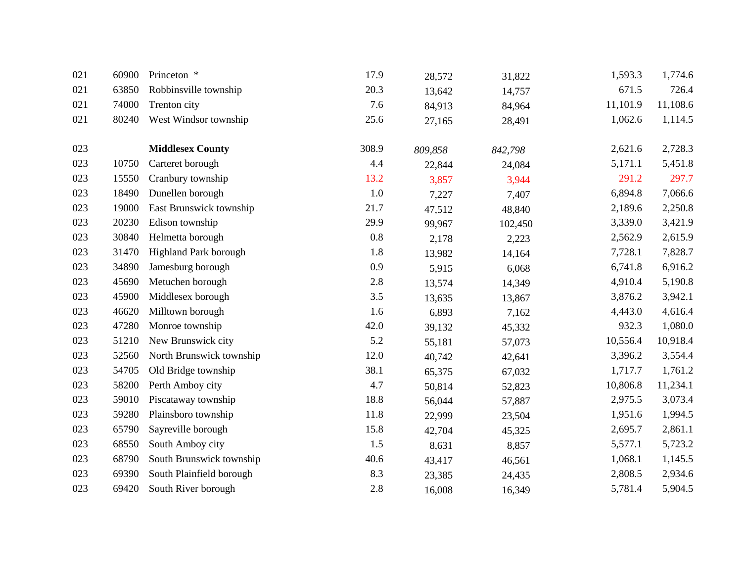| 021 | 60900 | Princeton *              | 17.9    | 28,572  | 31,822  | 1,593.3  | 1,774.6  |
|-----|-------|--------------------------|---------|---------|---------|----------|----------|
| 021 | 63850 | Robbinsville township    | 20.3    | 13,642  | 14,757  | 671.5    | 726.4    |
| 021 | 74000 | Trenton city             | 7.6     | 84,913  | 84,964  | 11,101.9 | 11,108.6 |
| 021 | 80240 | West Windsor township    | 25.6    | 27,165  | 28,491  | 1,062.6  | 1,114.5  |
| 023 |       | <b>Middlesex County</b>  | 308.9   | 809,858 | 842,798 | 2,621.6  | 2,728.3  |
| 023 | 10750 | Carteret borough         | 4.4     | 22,844  | 24,084  | 5,171.1  | 5,451.8  |
| 023 | 15550 | Cranbury township        | 13.2    | 3,857   | 3,944   | 291.2    | 297.7    |
| 023 | 18490 | Dunellen borough         | 1.0     | 7,227   | 7,407   | 6,894.8  | 7,066.6  |
| 023 | 19000 | East Brunswick township  | 21.7    | 47,512  | 48,840  | 2,189.6  | 2,250.8  |
| 023 | 20230 | Edison township          | 29.9    | 99,967  | 102,450 | 3,339.0  | 3,421.9  |
| 023 | 30840 | Helmetta borough         | $0.8\,$ | 2,178   | 2,223   | 2,562.9  | 2,615.9  |
| 023 | 31470 | Highland Park borough    | 1.8     | 13,982  | 14,164  | 7,728.1  | 7,828.7  |
| 023 | 34890 | Jamesburg borough        | 0.9     | 5,915   | 6,068   | 6,741.8  | 6,916.2  |
| 023 | 45690 | Metuchen borough         | 2.8     | 13,574  | 14,349  | 4,910.4  | 5,190.8  |
| 023 | 45900 | Middlesex borough        | 3.5     | 13,635  | 13,867  | 3,876.2  | 3,942.1  |
| 023 | 46620 | Milltown borough         | 1.6     | 6,893   | 7,162   | 4,443.0  | 4,616.4  |
| 023 | 47280 | Monroe township          | 42.0    | 39,132  | 45,332  | 932.3    | 1,080.0  |
| 023 | 51210 | New Brunswick city       | 5.2     | 55,181  | 57,073  | 10,556.4 | 10,918.4 |
| 023 | 52560 | North Brunswick township | 12.0    | 40,742  | 42,641  | 3,396.2  | 3,554.4  |
| 023 | 54705 | Old Bridge township      | 38.1    | 65,375  | 67,032  | 1,717.7  | 1,761.2  |
| 023 | 58200 | Perth Amboy city         | 4.7     | 50,814  | 52,823  | 10,806.8 | 11,234.1 |
| 023 | 59010 | Piscataway township      | 18.8    | 56,044  | 57,887  | 2,975.5  | 3,073.4  |
| 023 | 59280 | Plainsboro township      | 11.8    | 22,999  | 23,504  | 1,951.6  | 1,994.5  |
| 023 | 65790 | Sayreville borough       | 15.8    | 42,704  | 45,325  | 2,695.7  | 2,861.1  |
| 023 | 68550 | South Amboy city         | 1.5     | 8,631   | 8,857   | 5,577.1  | 5,723.2  |
| 023 | 68790 | South Brunswick township | 40.6    | 43,417  | 46,561  | 1,068.1  | 1,145.5  |
| 023 | 69390 | South Plainfield borough | 8.3     | 23,385  | 24,435  | 2,808.5  | 2,934.6  |
| 023 | 69420 | South River borough      | 2.8     | 16,008  | 16,349  | 5,781.4  | 5,904.5  |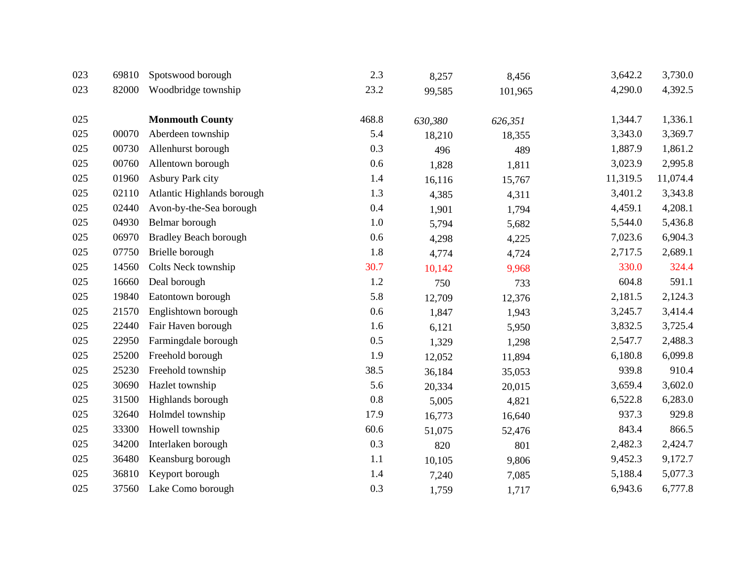| 023 | 69810 | Spotswood borough            | 2.3   | 8,257   | 8,456   | 3,642.2  | 3,730.0  |
|-----|-------|------------------------------|-------|---------|---------|----------|----------|
| 023 | 82000 | Woodbridge township          | 23.2  | 99,585  | 101,965 | 4,290.0  | 4,392.5  |
|     |       |                              |       |         |         |          |          |
| 025 |       | <b>Monmouth County</b>       | 468.8 | 630,380 | 626,351 | 1,344.7  | 1,336.1  |
| 025 | 00070 | Aberdeen township            | 5.4   | 18,210  | 18,355  | 3,343.0  | 3,369.7  |
| 025 | 00730 | Allenhurst borough           | 0.3   | 496     | 489     | 1,887.9  | 1,861.2  |
| 025 | 00760 | Allentown borough            | 0.6   | 1,828   | 1,811   | 3,023.9  | 2,995.8  |
| 025 | 01960 | Asbury Park city             | 1.4   | 16,116  | 15,767  | 11,319.5 | 11,074.4 |
| 025 | 02110 | Atlantic Highlands borough   | 1.3   | 4,385   | 4,311   | 3,401.2  | 3,343.8  |
| 025 | 02440 | Avon-by-the-Sea borough      | 0.4   | 1,901   | 1,794   | 4,459.1  | 4,208.1  |
| 025 | 04930 | Belmar borough               | 1.0   | 5,794   | 5,682   | 5,544.0  | 5,436.8  |
| 025 | 06970 | <b>Bradley Beach borough</b> | 0.6   | 4,298   | 4,225   | 7,023.6  | 6,904.3  |
| 025 | 07750 | Brielle borough              | 1.8   | 4,774   | 4,724   | 2,717.5  | 2,689.1  |
| 025 | 14560 | Colts Neck township          | 30.7  | 10,142  | 9,968   | 330.0    | 324.4    |
| 025 | 16660 | Deal borough                 | 1.2   | 750     | 733     | 604.8    | 591.1    |
| 025 | 19840 | Eatontown borough            | 5.8   | 12,709  | 12,376  | 2,181.5  | 2,124.3  |
| 025 | 21570 | Englishtown borough          | 0.6   | 1,847   | 1,943   | 3,245.7  | 3,414.4  |
| 025 | 22440 | Fair Haven borough           | 1.6   | 6,121   | 5,950   | 3,832.5  | 3,725.4  |
| 025 | 22950 | Farmingdale borough          | 0.5   | 1,329   | 1,298   | 2,547.7  | 2,488.3  |
| 025 | 25200 | Freehold borough             | 1.9   | 12,052  | 11,894  | 6,180.8  | 6,099.8  |
| 025 | 25230 | Freehold township            | 38.5  | 36,184  | 35,053  | 939.8    | 910.4    |
| 025 | 30690 | Hazlet township              | 5.6   | 20,334  | 20,015  | 3,659.4  | 3,602.0  |
| 025 | 31500 | Highlands borough            | 0.8   | 5,005   | 4,821   | 6,522.8  | 6,283.0  |
| 025 | 32640 | Holmdel township             | 17.9  | 16,773  | 16,640  | 937.3    | 929.8    |
| 025 | 33300 | Howell township              | 60.6  | 51,075  | 52,476  | 843.4    | 866.5    |
| 025 | 34200 | Interlaken borough           | 0.3   | 820     | 801     | 2,482.3  | 2,424.7  |
| 025 | 36480 | Keansburg borough            | 1.1   | 10,105  | 9,806   | 9,452.3  | 9,172.7  |
| 025 | 36810 | Keyport borough              | 1.4   | 7,240   | 7,085   | 5,188.4  | 5,077.3  |
| 025 | 37560 | Lake Como borough            | 0.3   | 1,759   | 1,717   | 6,943.6  | 6,777.8  |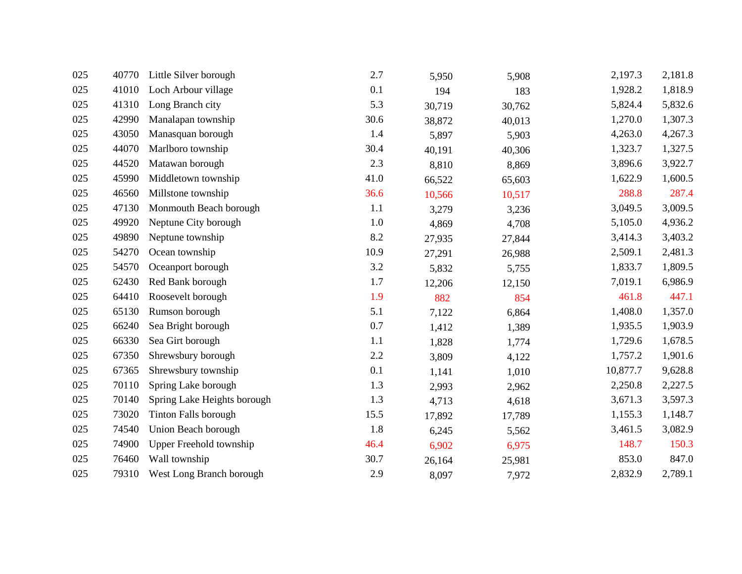| 025 | 40770 | Little Silver borough       | 2.7     | 5,950  | 5,908  | 2,197.3  | 2,181.8 |
|-----|-------|-----------------------------|---------|--------|--------|----------|---------|
| 025 | 41010 | Loch Arbour village         | 0.1     | 194    | 183    | 1,928.2  | 1,818.9 |
| 025 | 41310 | Long Branch city            | 5.3     | 30,719 | 30,762 | 5,824.4  | 5,832.6 |
| 025 | 42990 | Manalapan township          | 30.6    | 38,872 | 40,013 | 1,270.0  | 1,307.3 |
| 025 | 43050 | Manasquan borough           | 1.4     | 5,897  | 5,903  | 4,263.0  | 4,267.3 |
| 025 | 44070 | Marlboro township           | 30.4    | 40,191 | 40,306 | 1,323.7  | 1,327.5 |
| 025 | 44520 | Matawan borough             | 2.3     | 8,810  | 8,869  | 3,896.6  | 3,922.7 |
| 025 | 45990 | Middletown township         | 41.0    | 66,522 | 65,603 | 1,622.9  | 1,600.5 |
| 025 | 46560 | Millstone township          | 36.6    | 10,566 | 10,517 | 288.8    | 287.4   |
| 025 | 47130 | Monmouth Beach borough      | 1.1     | 3,279  | 3,236  | 3,049.5  | 3,009.5 |
| 025 | 49920 | Neptune City borough        | $1.0\,$ | 4,869  | 4,708  | 5,105.0  | 4,936.2 |
| 025 | 49890 | Neptune township            | 8.2     | 27,935 | 27,844 | 3,414.3  | 3,403.2 |
| 025 | 54270 | Ocean township              | 10.9    | 27,291 | 26,988 | 2,509.1  | 2,481.3 |
| 025 | 54570 | Oceanport borough           | 3.2     | 5,832  | 5,755  | 1,833.7  | 1,809.5 |
| 025 | 62430 | Red Bank borough            | 1.7     | 12,206 | 12,150 | 7,019.1  | 6,986.9 |
| 025 | 64410 | Roosevelt borough           | 1.9     | 882    | 854    | 461.8    | 447.1   |
| 025 | 65130 | Rumson borough              | 5.1     | 7,122  | 6,864  | 1,408.0  | 1,357.0 |
| 025 | 66240 | Sea Bright borough          | 0.7     | 1,412  | 1,389  | 1,935.5  | 1,903.9 |
| 025 | 66330 | Sea Girt borough            | 1.1     | 1,828  | 1,774  | 1,729.6  | 1,678.5 |
| 025 | 67350 | Shrewsbury borough          | 2.2     | 3,809  | 4,122  | 1,757.2  | 1,901.6 |
| 025 | 67365 | Shrewsbury township         | 0.1     | 1,141  | 1,010  | 10,877.7 | 9,628.8 |
| 025 | 70110 | Spring Lake borough         | 1.3     | 2,993  | 2,962  | 2,250.8  | 2,227.5 |
| 025 | 70140 | Spring Lake Heights borough | 1.3     | 4,713  | 4,618  | 3,671.3  | 3,597.3 |
| 025 | 73020 | Tinton Falls borough        | 15.5    | 17,892 | 17,789 | 1,155.3  | 1,148.7 |
| 025 | 74540 | Union Beach borough         | 1.8     | 6,245  | 5,562  | 3,461.5  | 3,082.9 |
| 025 | 74900 | Upper Freehold township     | 46.4    | 6,902  | 6,975  | 148.7    | 150.3   |
| 025 | 76460 | Wall township               | 30.7    | 26,164 | 25,981 | 853.0    | 847.0   |
| 025 | 79310 | West Long Branch borough    | 2.9     | 8,097  | 7,972  | 2,832.9  | 2,789.1 |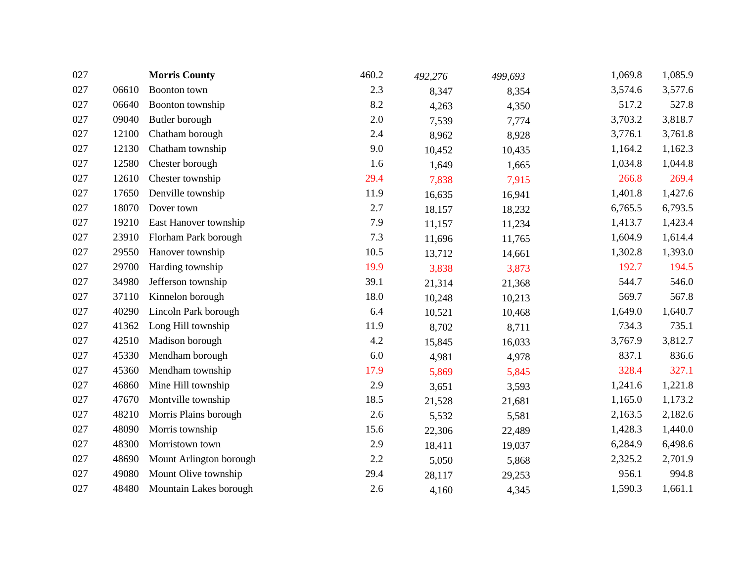| 027 |       | <b>Morris County</b>    | 460.2 | 492,276 | 499,693 | 1,069.8 | 1,085.9 |
|-----|-------|-------------------------|-------|---------|---------|---------|---------|
| 027 | 06610 | Boonton town            | 2.3   | 8,347   | 8,354   | 3,574.6 | 3,577.6 |
| 027 | 06640 | Boonton township        | 8.2   | 4,263   | 4,350   | 517.2   | 527.8   |
| 027 | 09040 | Butler borough          | 2.0   | 7,539   | 7,774   | 3,703.2 | 3,818.7 |
| 027 | 12100 | Chatham borough         | 2.4   | 8,962   | 8,928   | 3,776.1 | 3,761.8 |
| 027 | 12130 | Chatham township        | 9.0   | 10,452  | 10,435  | 1,164.2 | 1,162.3 |
| 027 | 12580 | Chester borough         | 1.6   | 1,649   | 1,665   | 1,034.8 | 1,044.8 |
| 027 | 12610 | Chester township        | 29.4  | 7,838   | 7,915   | 266.8   | 269.4   |
| 027 | 17650 | Denville township       | 11.9  | 16,635  | 16,941  | 1,401.8 | 1,427.6 |
| 027 | 18070 | Dover town              | 2.7   | 18,157  | 18,232  | 6,765.5 | 6,793.5 |
| 027 | 19210 | East Hanover township   | 7.9   | 11,157  | 11,234  | 1,413.7 | 1,423.4 |
| 027 | 23910 | Florham Park borough    | 7.3   | 11,696  | 11,765  | 1,604.9 | 1,614.4 |
| 027 | 29550 | Hanover township        | 10.5  | 13,712  | 14,661  | 1,302.8 | 1,393.0 |
| 027 | 29700 | Harding township        | 19.9  | 3,838   | 3,873   | 192.7   | 194.5   |
| 027 | 34980 | Jefferson township      | 39.1  | 21,314  | 21,368  | 544.7   | 546.0   |
| 027 | 37110 | Kinnelon borough        | 18.0  | 10,248  | 10,213  | 569.7   | 567.8   |
| 027 | 40290 | Lincoln Park borough    | 6.4   | 10,521  | 10,468  | 1,649.0 | 1,640.7 |
| 027 | 41362 | Long Hill township      | 11.9  | 8,702   | 8,711   | 734.3   | 735.1   |
| 027 | 42510 | Madison borough         | 4.2   | 15,845  | 16,033  | 3,767.9 | 3,812.7 |
| 027 | 45330 | Mendham borough         | 6.0   | 4,981   | 4,978   | 837.1   | 836.6   |
| 027 | 45360 | Mendham township        | 17.9  | 5,869   | 5,845   | 328.4   | 327.1   |
| 027 | 46860 | Mine Hill township      | 2.9   | 3,651   | 3,593   | 1,241.6 | 1,221.8 |
| 027 | 47670 | Montville township      | 18.5  | 21,528  | 21,681  | 1,165.0 | 1,173.2 |
| 027 | 48210 | Morris Plains borough   | 2.6   | 5,532   | 5,581   | 2,163.5 | 2,182.6 |
| 027 | 48090 | Morris township         | 15.6  | 22,306  | 22,489  | 1,428.3 | 1,440.0 |
| 027 | 48300 | Morristown town         | 2.9   | 18,411  | 19,037  | 6,284.9 | 6,498.6 |
| 027 | 48690 | Mount Arlington borough | 2.2   | 5,050   | 5,868   | 2,325.2 | 2,701.9 |
| 027 | 49080 | Mount Olive township    | 29.4  | 28,117  | 29,253  | 956.1   | 994.8   |
| 027 | 48480 | Mountain Lakes borough  | 2.6   | 4,160   | 4,345   | 1,590.3 | 1,661.1 |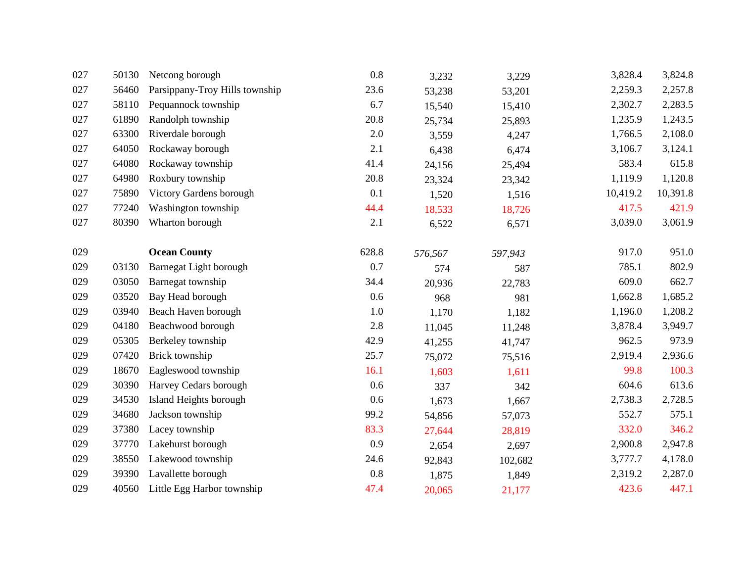| 027 | 50130 | Netcong borough                | 0.8   | 3,232   | 3,229   | 3,828.4  | 3,824.8  |
|-----|-------|--------------------------------|-------|---------|---------|----------|----------|
| 027 | 56460 | Parsippany-Troy Hills township | 23.6  | 53,238  | 53,201  | 2,259.3  | 2,257.8  |
| 027 | 58110 | Pequannock township            | 6.7   | 15,540  | 15,410  | 2,302.7  | 2,283.5  |
| 027 | 61890 | Randolph township              | 20.8  | 25,734  | 25,893  | 1,235.9  | 1,243.5  |
| 027 | 63300 | Riverdale borough              | 2.0   | 3,559   | 4,247   | 1,766.5  | 2,108.0  |
| 027 | 64050 | Rockaway borough               | 2.1   | 6,438   | 6,474   | 3,106.7  | 3,124.1  |
| 027 | 64080 | Rockaway township              | 41.4  | 24,156  | 25,494  | 583.4    | 615.8    |
| 027 | 64980 | Roxbury township               | 20.8  | 23,324  | 23,342  | 1,119.9  | 1,120.8  |
| 027 | 75890 | Victory Gardens borough        | 0.1   | 1,520   | 1,516   | 10,419.2 | 10,391.8 |
| 027 | 77240 | Washington township            | 44.4  | 18,533  | 18,726  | 417.5    | 421.9    |
| 027 | 80390 | Wharton borough                | 2.1   | 6,522   | 6,571   | 3,039.0  | 3,061.9  |
|     |       |                                |       |         |         |          |          |
| 029 |       | <b>Ocean County</b>            | 628.8 | 576,567 | 597,943 | 917.0    | 951.0    |
| 029 | 03130 | Barnegat Light borough         | 0.7   | 574     | 587     | 785.1    | 802.9    |
| 029 | 03050 | Barnegat township              | 34.4  | 20,936  | 22,783  | 609.0    | 662.7    |
| 029 | 03520 | Bay Head borough               | 0.6   | 968     | 981     | 1,662.8  | 1,685.2  |
| 029 | 03940 | Beach Haven borough            | 1.0   | 1,170   | 1,182   | 1,196.0  | 1,208.2  |
| 029 | 04180 | Beachwood borough              | 2.8   | 11,045  | 11,248  | 3,878.4  | 3,949.7  |
| 029 | 05305 | Berkeley township              | 42.9  | 41,255  | 41,747  | 962.5    | 973.9    |
| 029 | 07420 | Brick township                 | 25.7  | 75,072  | 75,516  | 2,919.4  | 2,936.6  |
| 029 | 18670 | Eagleswood township            | 16.1  | 1,603   | 1,611   | 99.8     | 100.3    |
| 029 | 30390 | Harvey Cedars borough          | 0.6   | 337     | 342     | 604.6    | 613.6    |
| 029 | 34530 | Island Heights borough         | 0.6   | 1,673   | 1,667   | 2,738.3  | 2,728.5  |
| 029 | 34680 | Jackson township               | 99.2  | 54,856  | 57,073  | 552.7    | 575.1    |
| 029 | 37380 | Lacey township                 | 83.3  | 27,644  | 28,819  | 332.0    | 346.2    |
| 029 | 37770 | Lakehurst borough              | 0.9   | 2,654   | 2,697   | 2,900.8  | 2,947.8  |
| 029 | 38550 | Lakewood township              | 24.6  | 92,843  | 102,682 | 3,777.7  | 4,178.0  |
| 029 | 39390 | Lavallette borough             | 0.8   | 1,875   | 1,849   | 2,319.2  | 2,287.0  |
| 029 | 40560 | Little Egg Harbor township     | 47.4  | 20,065  | 21,177  | 423.6    | 447.1    |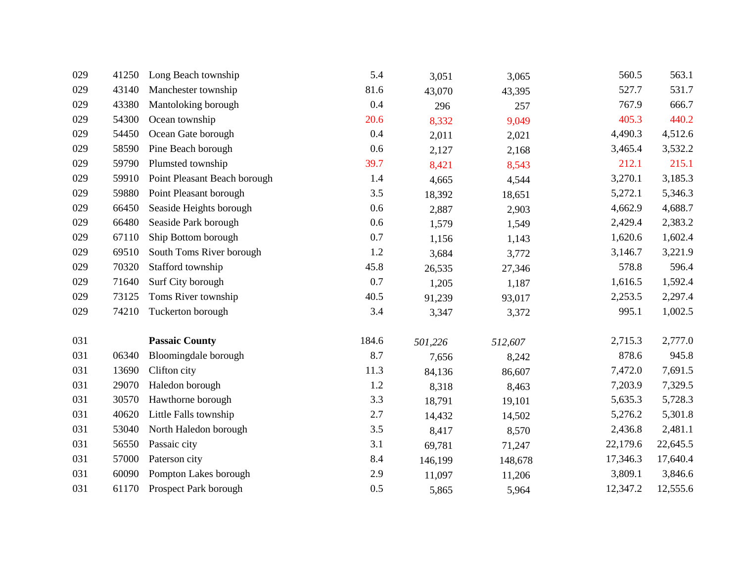| 029 | 41250 | Long Beach township          | 5.4   | 3,051   | 3,065   | 560.5    | 563.1    |
|-----|-------|------------------------------|-------|---------|---------|----------|----------|
| 029 | 43140 | Manchester township          | 81.6  | 43,070  | 43,395  | 527.7    | 531.7    |
| 029 | 43380 | Mantoloking borough          | 0.4   | 296     | 257     | 767.9    | 666.7    |
| 029 | 54300 | Ocean township               | 20.6  | 8,332   | 9,049   | 405.3    | 440.2    |
| 029 | 54450 | Ocean Gate borough           | 0.4   | 2,011   | 2,021   | 4,490.3  | 4,512.6  |
| 029 | 58590 | Pine Beach borough           | 0.6   | 2,127   | 2,168   | 3,465.4  | 3,532.2  |
| 029 | 59790 | Plumsted township            | 39.7  | 8,421   | 8,543   | 212.1    | 215.1    |
| 029 | 59910 | Point Pleasant Beach borough | 1.4   | 4,665   | 4,544   | 3,270.1  | 3,185.3  |
| 029 | 59880 | Point Pleasant borough       | 3.5   | 18,392  | 18,651  | 5,272.1  | 5,346.3  |
| 029 | 66450 | Seaside Heights borough      | 0.6   | 2,887   | 2,903   | 4,662.9  | 4,688.7  |
| 029 | 66480 | Seaside Park borough         | 0.6   | 1,579   | 1,549   | 2,429.4  | 2,383.2  |
| 029 | 67110 | Ship Bottom borough          | 0.7   | 1,156   | 1,143   | 1,620.6  | 1,602.4  |
| 029 | 69510 | South Toms River borough     | 1.2   | 3,684   | 3,772   | 3,146.7  | 3,221.9  |
| 029 | 70320 | Stafford township            | 45.8  | 26,535  | 27,346  | 578.8    | 596.4    |
| 029 | 71640 | Surf City borough            | 0.7   | 1,205   | 1,187   | 1,616.5  | 1,592.4  |
| 029 | 73125 | Toms River township          | 40.5  | 91,239  | 93,017  | 2,253.5  | 2,297.4  |
| 029 | 74210 | Tuckerton borough            | 3.4   | 3,347   | 3,372   | 995.1    | 1,002.5  |
| 031 |       | <b>Passaic County</b>        | 184.6 | 501,226 | 512,607 | 2,715.3  | 2,777.0  |
| 031 | 06340 | Bloomingdale borough         | 8.7   | 7,656   | 8,242   | 878.6    | 945.8    |
| 031 | 13690 | Clifton city                 | 11.3  | 84,136  | 86,607  | 7,472.0  | 7,691.5  |
| 031 | 29070 | Haledon borough              | 1.2   | 8,318   | 8,463   | 7,203.9  | 7,329.5  |
| 031 | 30570 | Hawthorne borough            | 3.3   | 18,791  | 19,101  | 5,635.3  | 5,728.3  |
| 031 | 40620 | Little Falls township        | 2.7   | 14,432  | 14,502  | 5,276.2  | 5,301.8  |
| 031 | 53040 | North Haledon borough        | 3.5   | 8,417   | 8,570   | 2,436.8  | 2,481.1  |
| 031 | 56550 | Passaic city                 | 3.1   | 69,781  | 71,247  | 22,179.6 | 22,645.5 |
| 031 | 57000 | Paterson city                | 8.4   | 146,199 | 148,678 | 17,346.3 | 17,640.4 |
| 031 | 60090 | Pompton Lakes borough        | 2.9   | 11,097  | 11,206  | 3,809.1  | 3,846.6  |
| 031 | 61170 | Prospect Park borough        | 0.5   | 5,865   | 5,964   | 12,347.2 | 12,555.6 |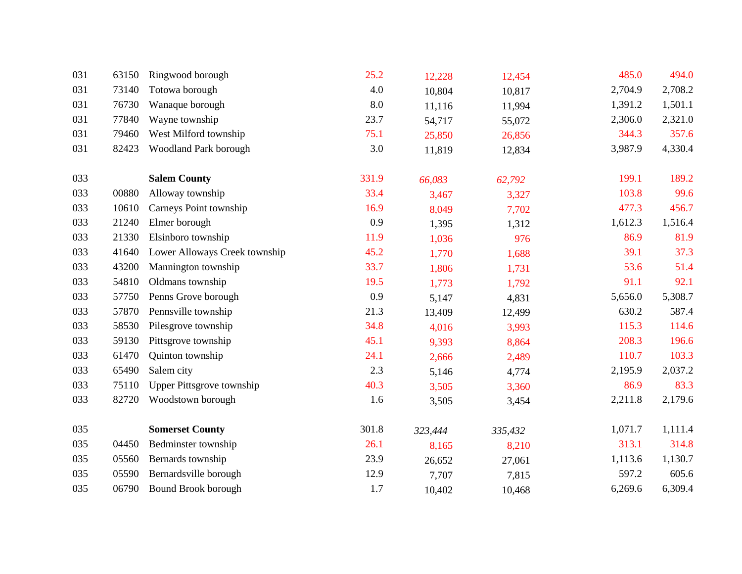| 031 | 63150 | Ringwood borough                 | 25.2  | 12,228  | 12,454  | 485.0   | 494.0   |
|-----|-------|----------------------------------|-------|---------|---------|---------|---------|
| 031 | 73140 | Totowa borough                   | 4.0   | 10,804  | 10,817  | 2,704.9 | 2,708.2 |
| 031 | 76730 | Wanaque borough                  | 8.0   | 11,116  | 11,994  | 1,391.2 | 1,501.1 |
| 031 | 77840 | Wayne township                   | 23.7  | 54,717  | 55,072  | 2,306.0 | 2,321.0 |
| 031 | 79460 | West Milford township            | 75.1  | 25,850  | 26,856  | 344.3   | 357.6   |
| 031 | 82423 | Woodland Park borough            | 3.0   | 11,819  | 12,834  | 3,987.9 | 4,330.4 |
| 033 |       | <b>Salem County</b>              | 331.9 | 66,083  | 62,792  | 199.1   | 189.2   |
| 033 | 00880 | Alloway township                 | 33.4  | 3,467   | 3,327   | 103.8   | 99.6    |
| 033 | 10610 | Carneys Point township           | 16.9  | 8,049   | 7,702   | 477.3   | 456.7   |
| 033 | 21240 | Elmer borough                    | 0.9   | 1,395   | 1,312   | 1,612.3 | 1,516.4 |
| 033 | 21330 | Elsinboro township               | 11.9  | 1,036   | 976     | 86.9    | 81.9    |
| 033 | 41640 | Lower Alloways Creek township    | 45.2  | 1,770   | 1,688   | 39.1    | 37.3    |
| 033 | 43200 | Mannington township              | 33.7  | 1,806   | 1,731   | 53.6    | 51.4    |
| 033 | 54810 | Oldmans township                 | 19.5  | 1,773   | 1,792   | 91.1    | 92.1    |
| 033 | 57750 | Penns Grove borough              | 0.9   | 5,147   | 4,831   | 5,656.0 | 5,308.7 |
| 033 | 57870 | Pennsville township              | 21.3  | 13,409  | 12,499  | 630.2   | 587.4   |
| 033 | 58530 | Pilesgrove township              | 34.8  | 4,016   | 3,993   | 115.3   | 114.6   |
| 033 | 59130 | Pittsgrove township              | 45.1  | 9,393   | 8,864   | 208.3   | 196.6   |
| 033 | 61470 | Quinton township                 | 24.1  | 2,666   | 2,489   | 110.7   | 103.3   |
| 033 | 65490 | Salem city                       | 2.3   | 5,146   | 4,774   | 2,195.9 | 2,037.2 |
| 033 | 75110 | <b>Upper Pittsgrove township</b> | 40.3  | 3,505   | 3,360   | 86.9    | 83.3    |
| 033 | 82720 | Woodstown borough                | 1.6   | 3,505   | 3,454   | 2,211.8 | 2,179.6 |
| 035 |       | <b>Somerset County</b>           | 301.8 | 323,444 | 335,432 | 1,071.7 | 1,111.4 |
| 035 | 04450 | Bedminster township              | 26.1  | 8,165   | 8,210   | 313.1   | 314.8   |
| 035 | 05560 | Bernards township                | 23.9  | 26,652  | 27,061  | 1,113.6 | 1,130.7 |
| 035 | 05590 | Bernardsville borough            | 12.9  | 7,707   | 7,815   | 597.2   | 605.6   |
| 035 | 06790 | Bound Brook borough              | 1.7   | 10,402  | 10,468  | 6,269.6 | 6,309.4 |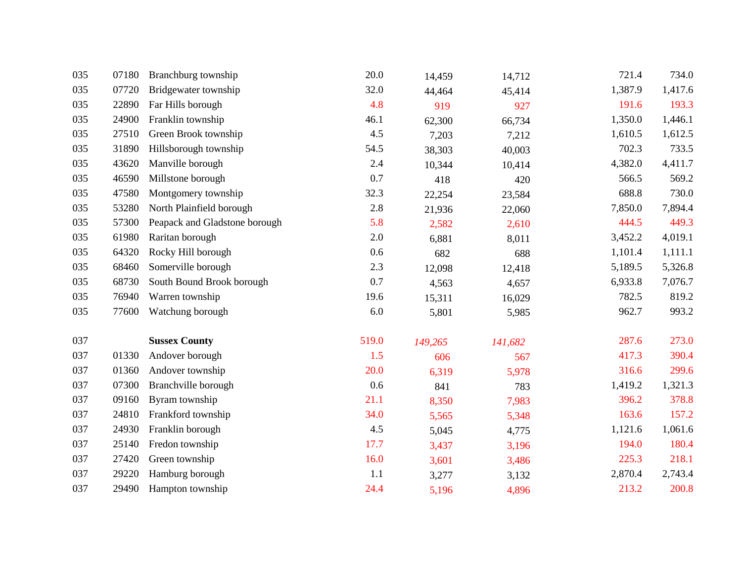| 035 | 07180 | Branchburg township           | 20.0  | 14,459  | 14,712  | 721.4   | 734.0   |
|-----|-------|-------------------------------|-------|---------|---------|---------|---------|
| 035 | 07720 | Bridgewater township          | 32.0  | 44,464  | 45,414  | 1,387.9 | 1,417.6 |
| 035 | 22890 | Far Hills borough             | 4.8   | 919     | 927     | 191.6   | 193.3   |
| 035 | 24900 | Franklin township             | 46.1  | 62,300  | 66,734  | 1,350.0 | 1,446.1 |
| 035 | 27510 | Green Brook township          | 4.5   | 7,203   | 7,212   | 1,610.5 | 1,612.5 |
| 035 | 31890 | Hillsborough township         | 54.5  | 38,303  | 40,003  | 702.3   | 733.5   |
| 035 | 43620 | Manville borough              | 2.4   | 10,344  | 10,414  | 4,382.0 | 4,411.7 |
| 035 | 46590 | Millstone borough             | 0.7   | 418     | 420     | 566.5   | 569.2   |
| 035 | 47580 | Montgomery township           | 32.3  | 22,254  | 23,584  | 688.8   | 730.0   |
| 035 | 53280 | North Plainfield borough      | 2.8   | 21,936  | 22,060  | 7,850.0 | 7,894.4 |
| 035 | 57300 | Peapack and Gladstone borough | 5.8   | 2,582   | 2,610   | 444.5   | 449.3   |
| 035 | 61980 | Raritan borough               | 2.0   | 6,881   | 8,011   | 3,452.2 | 4,019.1 |
| 035 | 64320 | Rocky Hill borough            | 0.6   | 682     | 688     | 1,101.4 | 1,111.1 |
| 035 | 68460 | Somerville borough            | 2.3   | 12,098  | 12,418  | 5,189.5 | 5,326.8 |
| 035 | 68730 | South Bound Brook borough     | 0.7   | 4,563   | 4,657   | 6,933.8 | 7,076.7 |
| 035 | 76940 | Warren township               | 19.6  | 15,311  | 16,029  | 782.5   | 819.2   |
| 035 | 77600 | Watchung borough              | 6.0   | 5,801   | 5,985   | 962.7   | 993.2   |
| 037 |       | <b>Sussex County</b>          | 519.0 | 149,265 | 141,682 | 287.6   | 273.0   |
| 037 | 01330 | Andover borough               | 1.5   | 606     | 567     | 417.3   | 390.4   |
| 037 | 01360 | Andover township              | 20.0  | 6,319   | 5,978   | 316.6   | 299.6   |
| 037 | 07300 | Branchville borough           | 0.6   | 841     | 783     | 1,419.2 | 1,321.3 |
| 037 | 09160 | Byram township                | 21.1  | 8,350   | 7,983   | 396.2   | 378.8   |
| 037 | 24810 | Frankford township            | 34.0  | 5,565   | 5,348   | 163.6   | 157.2   |
| 037 | 24930 | Franklin borough              | 4.5   | 5,045   | 4,775   | 1,121.6 | 1,061.6 |
| 037 | 25140 | Fredon township               | 17.7  | 3,437   | 3,196   | 194.0   | 180.4   |
| 037 | 27420 | Green township                | 16.0  | 3,601   | 3,486   | 225.3   | 218.1   |
| 037 | 29220 | Hamburg borough               | 1.1   | 3,277   | 3,132   | 2,870.4 | 2,743.4 |
| 037 | 29490 | Hampton township              | 24.4  | 5,196   | 4,896   | 213.2   | 200.8   |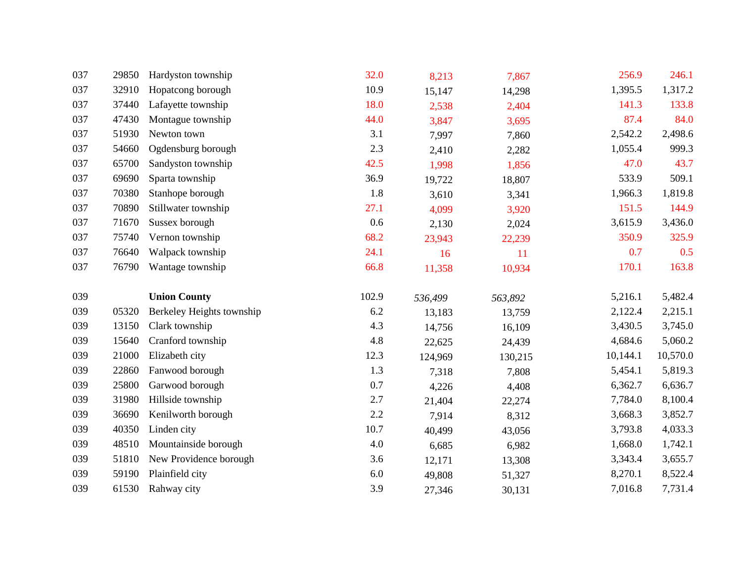| 037 | 29850 | Hardyston township        | 32.0    | 8,213   | 7,867   | 256.9    | 246.1    |
|-----|-------|---------------------------|---------|---------|---------|----------|----------|
| 037 | 32910 | Hopatcong borough         | 10.9    | 15,147  | 14,298  | 1,395.5  | 1,317.2  |
| 037 | 37440 | Lafayette township        | 18.0    | 2,538   | 2,404   | 141.3    | 133.8    |
| 037 | 47430 | Montague township         | 44.0    | 3,847   | 3,695   | 87.4     | 84.0     |
| 037 | 51930 | Newton town               | 3.1     | 7,997   | 7,860   | 2,542.2  | 2,498.6  |
| 037 | 54660 | Ogdensburg borough        | 2.3     | 2,410   | 2,282   | 1,055.4  | 999.3    |
| 037 | 65700 | Sandyston township        | 42.5    | 1,998   | 1,856   | 47.0     | 43.7     |
| 037 | 69690 | Sparta township           | 36.9    | 19,722  | 18,807  | 533.9    | 509.1    |
| 037 | 70380 | Stanhope borough          | 1.8     | 3,610   | 3,341   | 1,966.3  | 1,819.8  |
| 037 | 70890 | Stillwater township       | 27.1    | 4,099   | 3,920   | 151.5    | 144.9    |
| 037 | 71670 | Sussex borough            | 0.6     | 2,130   | 2,024   | 3,615.9  | 3,436.0  |
| 037 | 75740 | Vernon township           | 68.2    | 23,943  | 22,239  | 350.9    | 325.9    |
| 037 | 76640 | Walpack township          | 24.1    | 16      | 11      | 0.7      | 0.5      |
| 037 | 76790 | Wantage township          | 66.8    | 11,358  | 10,934  | 170.1    | 163.8    |
| 039 |       | <b>Union County</b>       | 102.9   | 536,499 | 563,892 | 5,216.1  | 5,482.4  |
|     |       |                           |         |         |         |          |          |
| 039 | 05320 | Berkeley Heights township | 6.2     | 13,183  | 13,759  | 2,122.4  | 2,215.1  |
| 039 | 13150 | Clark township            | 4.3     | 14,756  | 16,109  | 3,430.5  | 3,745.0  |
| 039 | 15640 | Cranford township         | 4.8     | 22,625  | 24,439  | 4,684.6  | 5,060.2  |
| 039 | 21000 | Elizabeth city            | 12.3    | 124,969 | 130,215 | 10,144.1 | 10,570.0 |
| 039 | 22860 | Fanwood borough           | 1.3     | 7,318   | 7,808   | 5,454.1  | 5,819.3  |
| 039 | 25800 | Garwood borough           | 0.7     | 4,226   | 4,408   | 6,362.7  | 6,636.7  |
| 039 | 31980 | Hillside township         | 2.7     | 21,404  | 22,274  | 7,784.0  | 8,100.4  |
| 039 | 36690 | Kenilworth borough        | 2.2     | 7,914   | 8,312   | 3,668.3  | 3,852.7  |
| 039 | 40350 | Linden city               | 10.7    | 40,499  | 43,056  | 3,793.8  | 4,033.3  |
| 039 | 48510 | Mountainside borough      | 4.0     | 6,685   | 6,982   | 1,668.0  | 1,742.1  |
| 039 | 51810 | New Providence borough    | 3.6     | 12,171  | 13,308  | 3,343.4  | 3,655.7  |
| 039 | 59190 | Plainfield city           | $6.0\,$ | 49,808  | 51,327  | 8,270.1  | 8,522.4  |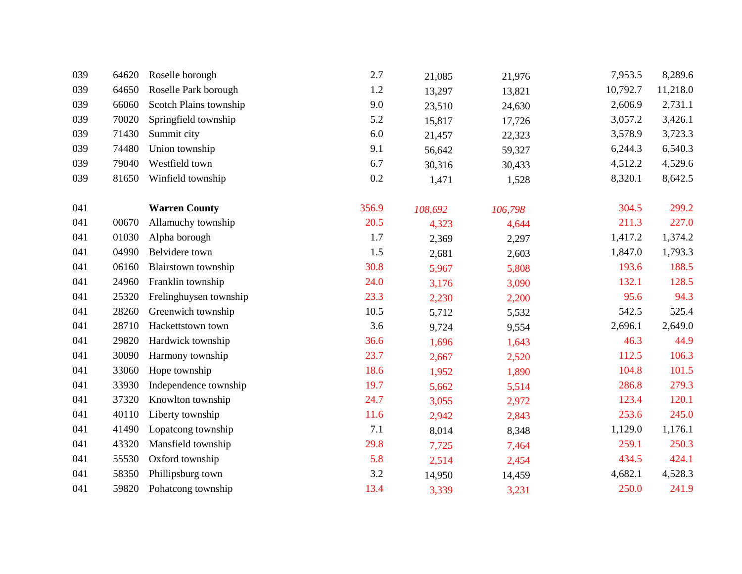| 039 | 64620 | Roselle borough        | 2.7   | 21,085  | 21,976  | 7,953.5  | 8,289.6  |
|-----|-------|------------------------|-------|---------|---------|----------|----------|
| 039 | 64650 | Roselle Park borough   | 1.2   | 13,297  | 13,821  | 10,792.7 | 11,218.0 |
| 039 | 66060 | Scotch Plains township | 9.0   | 23,510  | 24,630  | 2,606.9  | 2,731.1  |
| 039 | 70020 | Springfield township   | 5.2   | 15,817  | 17,726  | 3,057.2  | 3,426.1  |
| 039 | 71430 | Summit city            | 6.0   | 21,457  | 22,323  | 3,578.9  | 3,723.3  |
| 039 | 74480 | Union township         | 9.1   | 56,642  | 59,327  | 6,244.3  | 6,540.3  |
| 039 | 79040 | Westfield town         | 6.7   | 30,316  | 30,433  | 4,512.2  | 4,529.6  |
| 039 | 81650 | Winfield township      | 0.2   | 1,471   | 1,528   | 8,320.1  | 8,642.5  |
| 041 |       | <b>Warren County</b>   | 356.9 | 108,692 | 106,798 | 304.5    | 299.2    |
| 041 | 00670 | Allamuchy township     | 20.5  | 4,323   | 4,644   | 211.3    | 227.0    |
| 041 | 01030 | Alpha borough          | 1.7   | 2,369   | 2,297   | 1,417.2  | 1,374.2  |
| 041 | 04990 | Belvidere town         | 1.5   | 2,681   | 2,603   | 1,847.0  | 1,793.3  |
| 041 | 06160 | Blairstown township    | 30.8  | 5,967   | 5,808   | 193.6    | 188.5    |
| 041 | 24960 | Franklin township      | 24.0  | 3,176   | 3,090   | 132.1    | 128.5    |
| 041 | 25320 | Frelinghuysen township | 23.3  | 2,230   | 2,200   | 95.6     | 94.3     |
| 041 | 28260 | Greenwich township     | 10.5  | 5,712   | 5,532   | 542.5    | 525.4    |
| 041 | 28710 | Hackettstown town      | 3.6   | 9,724   | 9,554   | 2,696.1  | 2,649.0  |
| 041 | 29820 | Hardwick township      | 36.6  | 1,696   | 1,643   | 46.3     | 44.9     |
| 041 | 30090 | Harmony township       | 23.7  | 2,667   | 2,520   | 112.5    | 106.3    |
| 041 | 33060 | Hope township          | 18.6  | 1,952   | 1,890   | 104.8    | 101.5    |
| 041 | 33930 | Independence township  | 19.7  | 5,662   | 5,514   | 286.8    | 279.3    |
| 041 | 37320 | Knowlton township      | 24.7  | 3,055   | 2,972   | 123.4    | 120.1    |
| 041 | 40110 | Liberty township       | 11.6  | 2,942   | 2,843   | 253.6    | 245.0    |
| 041 | 41490 | Lopatcong township     | 7.1   | 8,014   | 8,348   | 1,129.0  | 1,176.1  |
| 041 | 43320 | Mansfield township     | 29.8  | 7,725   | 7,464   | 259.1    | 250.3    |
| 041 | 55530 | Oxford township        | 5.8   | 2,514   | 2,454   | 434.5    | 424.1    |
| 041 | 58350 | Phillipsburg town      | 3.2   | 14,950  | 14,459  | 4,682.1  | 4,528.3  |
| 041 | 59820 | Pohatcong township     | 13.4  | 3,339   | 3,231   | 250.0    | 241.9    |